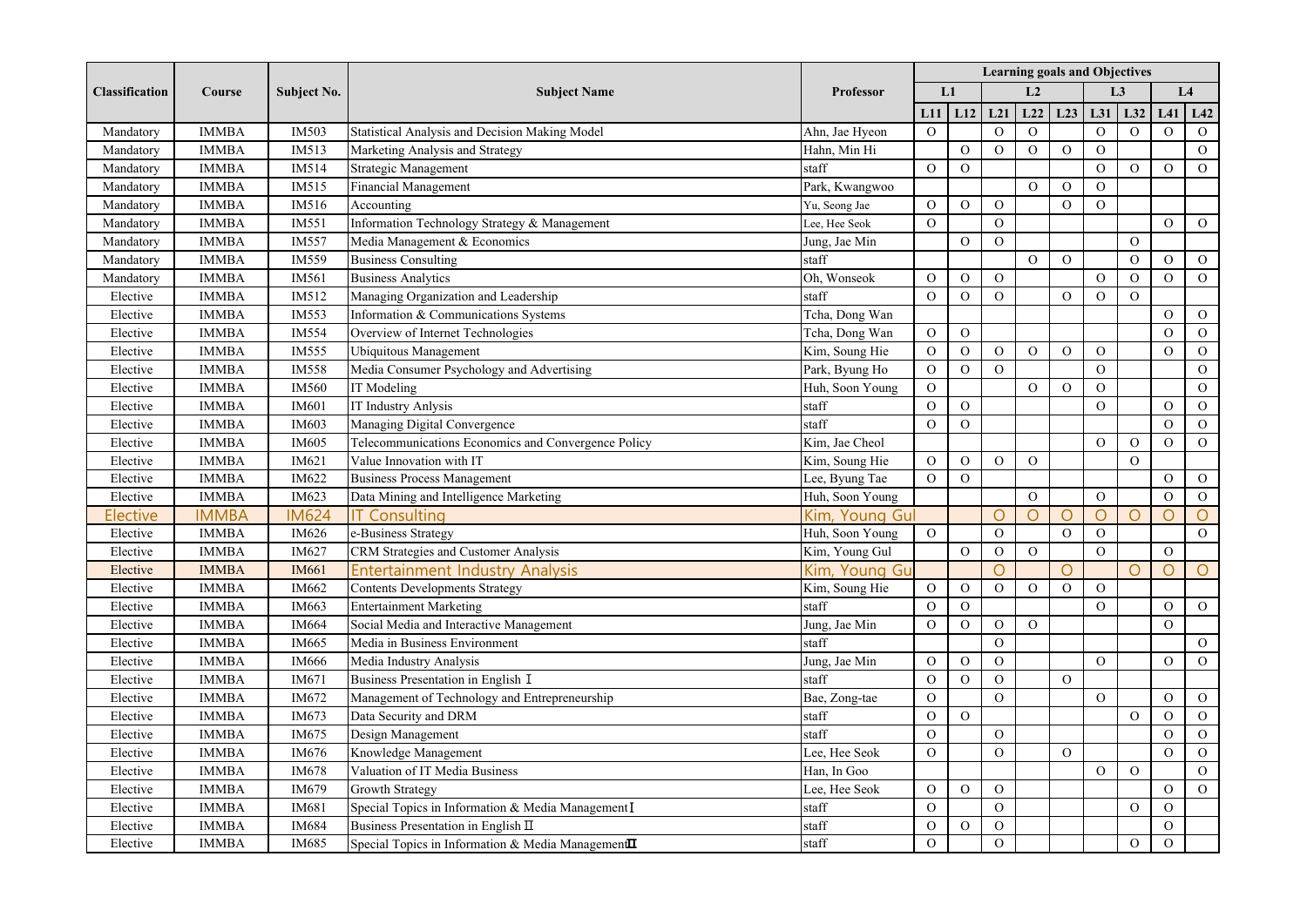| <b>Classification</b> | Course       | <b>Subject No.</b> | <b>Subject Name</b>                                 |                  | <b>Learning goals and Objectives</b> |                |                |                |                |                |                |                |                |  |
|-----------------------|--------------|--------------------|-----------------------------------------------------|------------------|--------------------------------------|----------------|----------------|----------------|----------------|----------------|----------------|----------------|----------------|--|
|                       |              |                    |                                                     | <b>Professor</b> |                                      | L1             |                | L <sub>2</sub> |                |                | L <sub>3</sub> |                | L4             |  |
|                       |              |                    |                                                     |                  | L11                                  | L12            | L21            | L22            | L23            | L31            | L32            | L41            | L42            |  |
| Mandatory             | <b>IMMBA</b> | IM503              | Statistical Analysis and Decision Making Model      | Ahn, Jae Hyeon   | $\mathbf{O}$                         |                | $\mathbf{O}$   | $\mathbf{O}$   |                | $\mathcal{O}$  | $\mathcal{O}$  | $\Omega$       | $\mathbf{O}$   |  |
| Mandatory             | <b>IMMBA</b> | IM513              | Marketing Analysis and Strategy                     | Hahn, Min Hi     |                                      | ${\cal O}$     | $\Omega$       | ${\rm O}$      | ${\cal O}$     | $\mathbf O$    |                |                | $\mathbf O$    |  |
| Mandatory             | <b>IMMBA</b> | IM514              | Strategic Management                                | staff            | $\mathbf O$                          | $\mathbf O$    |                |                |                | $\Omega$       | $\Omega$       | $\Omega$       | $\mathbf{O}$   |  |
| Mandatory             | <b>IMMBA</b> | IM515              | Financial Management                                | Park, Kwangwoo   |                                      |                |                | $\Omega$       | $\Omega$       | $\Omega$       |                |                |                |  |
| Mandatory             | <b>IMMBA</b> | IM516              | Accounting                                          | Yu, Seong Jae    | $\overline{O}$                       | $\overline{O}$ | $\mathbf{O}$   |                | $\mathbf{O}$   | $\overline{O}$ |                |                |                |  |
| Mandatory             | <b>IMMBA</b> | IM551              | Information Technology Strategy & Management        | Lee, Hee Seok    | $\mathbf{O}$                         |                | $\Omega$       |                |                |                |                | $\overline{O}$ | $\mathbf{O}$   |  |
| Mandatory             | <b>IMMBA</b> | IM557              | Media Management & Economics                        | Jung, Jae Min    |                                      | $\mathcal{O}$  | $\Omega$       |                |                |                | $\overline{O}$ |                |                |  |
| Mandatory             | <b>IMMBA</b> | IM559              | <b>Business Consulting</b>                          | staff            |                                      |                |                | $\mathbf{O}$   | $\mathbf{O}$   |                | $\mathcal{O}$  | $\overline{O}$ | $\overline{O}$ |  |
| Mandatory             | <b>IMMBA</b> | IM561              | <b>Business Analytics</b>                           | Oh, Wonseok      | $\overline{O}$                       | $\mathcal{O}$  | $\overline{O}$ |                |                | ${\rm O}$      | $\overline{O}$ | $\overline{O}$ | $\mathbf{O}$   |  |
| Elective              | <b>IMMBA</b> | IM512              | Managing Organization and Leadership                | staff            | $\mathbf O$                          | $\mathbf O$    | $\Omega$       |                | $\Omega$       | $\mathbf O$    | $\Omega$       |                |                |  |
| Elective              | <b>IMMBA</b> | IM553              | Information & Communications Systems                | Tcha, Dong Wan   |                                      |                |                |                |                |                |                | $\Omega$       | $\mathcal{O}$  |  |
| Elective              | <b>IMMBA</b> | IM554              | Overview of Internet Technologies                   | Tcha, Dong Wan   | $\mathbf{O}$                         | $\overline{O}$ |                |                |                |                |                | $\Omega$       | $\mathbf{O}$   |  |
| Elective              | <b>IMMBA</b> | IM555              | Ubiquitous Management                               | Kim, Soung Hie   | $\mathbf{O}$                         | $\overline{O}$ | $\mathbf{O}$   | $\overline{O}$ | $\Omega$       | $\overline{O}$ |                | $\overline{O}$ | $\mathbf{O}$   |  |
| Elective              | <b>IMMBA</b> | IM558              | Media Consumer Psychology and Advertising           | Park, Byung Ho   | $\mathbf{O}$                         | $\overline{O}$ | $\Omega$       |                |                | $\Omega$       |                |                | $\mathbf{O}$   |  |
| Elective              | <b>IMMBA</b> | IM560              | IT Modeling                                         | Huh, Soon Young  | $\overline{O}$                       |                |                | $\overline{O}$ | $\overline{O}$ | $\overline{O}$ |                |                | $\overline{O}$ |  |
| Elective              | <b>IMMBA</b> | IM601              | IT Industry Anlysis                                 | staff            | $\overline{O}$                       | $\overline{O}$ |                |                |                | $\overline{O}$ |                | $\overline{O}$ | $\overline{O}$ |  |
| Elective              | <b>IMMBA</b> | IM603              | Managing Digital Convergence                        | staff            | $\mathbf O$                          | $\overline{O}$ |                |                |                |                |                | $\overline{O}$ | $\mathbf{O}$   |  |
| Elective              | <b>IMMBA</b> | IM605              | Telecommunications Economics and Convergence Policy | Kim, Jae Cheol   |                                      |                |                |                |                | ${\rm O}$      | $\mathbf O$    | $\Omega$       | ${\cal O}$     |  |
| Elective              | <b>IMMBA</b> | IM621              | Value Innovation with IT                            | Kim, Soung Hie   | $\Omega$                             | $\mathcal{O}$  | $\Omega$       | $\Omega$       |                |                | $\Omega$       |                |                |  |
| Elective              | <b>IMMBA</b> | IM622              | <b>Business Process Management</b>                  | Lee, Byung Tae   | $\overline{O}$                       | $\Omega$       |                |                |                |                |                | $\Omega$       | $\overline{O}$ |  |
| Elective              | <b>IMMBA</b> | IM623              | Data Mining and Intelligence Marketing              | Huh, Soon Young  |                                      |                |                | $\overline{O}$ |                | $\overline{O}$ |                | $\overline{O}$ | $\mathbf{O}$   |  |
| Elective              | <b>IMMBA</b> | <b>IM624</b>       | <b>IT Consulting</b>                                | Kim, Young Gul   |                                      |                | $\circ$        | $\bigcirc$     | $\bigcirc$     | $\circ$        | $\circ$        | $\bigcirc$     | $\circ$        |  |
| Elective              | <b>IMMBA</b> | IM626              | e-Business Strategy                                 | Huh, Soon Young  | $\overline{O}$                       |                | $\overline{O}$ |                | $\mathbf{O}$   | $\overline{O}$ |                |                | $\mathbf{O}$   |  |
| Elective              | <b>IMMBA</b> | IM627              | CRM Strategies and Customer Analysis                | Kim, Young Gul   |                                      | $\mathcal{O}$  | $\overline{O}$ | $\overline{O}$ |                | $\mathcal{O}$  |                | $\overline{O}$ |                |  |
| Elective              | <b>IMMBA</b> | IM661              | <b>Entertainment Industry Analysis</b>              | Kim, Young Gu    |                                      |                | $\circ$        |                | Ω              |                | $\circ$        | $\bigcirc$     | $\circ$        |  |
| Elective              | <b>IMMBA</b> | IM662              | <b>Contents Developments Strategy</b>               | Kim, Soung Hie   | $\mathbf O$                          | ${\rm O}$      | $\mathbf O$    | $\mathbf O$    | $\Omega$       | $\Omega$       |                |                |                |  |
| Elective              | <b>IMMBA</b> | IM663              | <b>Entertainment Marketing</b>                      | staff            | $\mathbf O$                          | $\mathbf O$    |                |                |                | $\Omega$       |                | $\Omega$       | $\overline{O}$ |  |
| Elective              | <b>IMMBA</b> | IM664              | Social Media and Interactive Management             | Jung, Jae Min    | $\overline{O}$                       | $\overline{O}$ | $\overline{O}$ | $\Omega$       |                |                |                | $\Omega$       |                |  |
| Elective              | <b>IMMBA</b> | IM665              | Media in Business Environment                       | staff            |                                      |                | $\overline{O}$ |                |                |                |                |                | $\mathbf{O}$   |  |
| Elective              | <b>IMMBA</b> | IM666              | Media Industry Analysis                             | Jung, Jae Min    | $\overline{O}$                       | $\mathcal{O}$  | $\overline{O}$ |                |                | $\overline{O}$ |                | $\Omega$       | $\overline{O}$ |  |
| Elective              | <b>IMMBA</b> | IM671              | Business Presentation in English I                  | staff            | $\mathbf O$                          | $\mathcal{O}$  | $\mathcal{O}$  |                | $\mathbf{O}$   |                |                |                |                |  |
| Elective              | <b>IMMBA</b> | IM672              | Management of Technology and Entrepreneurship       | Bae, Zong-tae    | $\overline{O}$                       |                | $\Omega$       |                |                | $\overline{O}$ |                | $\overline{O}$ | $\mathbf{O}$   |  |
| Elective              | <b>IMMBA</b> | IM673              | Data Security and DRM                               | staff            | $\overline{O}$                       | $\mathbf O$    |                |                |                |                | ${\cal O}$     | $\overline{O}$ | $\mathbf{O}$   |  |
| Elective              | <b>IMMBA</b> | IM675              | Design Management                                   | staff            | ${\cal O}$                           |                | ${\cal O}$     |                |                |                |                | $\Omega$       | ${\rm O}$      |  |
| Elective              | <b>IMMBA</b> | IM676              | Knowledge Management                                | Lee, Hee Seok    | $\Omega$                             |                | $\Omega$       |                | $\Omega$       |                |                | $\Omega$       | $\mathbf{O}$   |  |
| Elective              | <b>IMMBA</b> | IM678              | Valuation of IT Media Business                      | Han. In Goo      |                                      |                |                |                |                | $\Omega$       | $\Omega$       |                | $\overline{O}$ |  |
| Elective              | <b>IMMBA</b> | IM679              | Growth Strategy                                     | Lee, Hee Seok    | $\overline{O}$                       | $\overline{O}$ | $\overline{O}$ |                |                |                |                | $\mathbf{O}$   | $\overline{O}$ |  |
| Elective              | <b>IMMBA</b> | IM681              | Special Topics in Information & Media Management I  | staff            | $\mathbf{O}$                         |                | $\overline{O}$ |                |                |                | $\overline{O}$ | $\mathbf{O}$   |                |  |
| Elective              | <b>IMMBA</b> | IM684              | Business Presentation in English II                 | staff            | $\mathcal{O}$                        | $\mathcal{O}$  | $\overline{O}$ |                |                |                |                | $\overline{O}$ |                |  |
| Elective              | <b>IMMBA</b> | IM685              | Special Topics in Information & Media ManagementII  | staff            | $\overline{O}$                       |                | $\mathcal{O}$  |                |                |                | $\mathbf{O}$   | $\mathcal{O}$  |                |  |